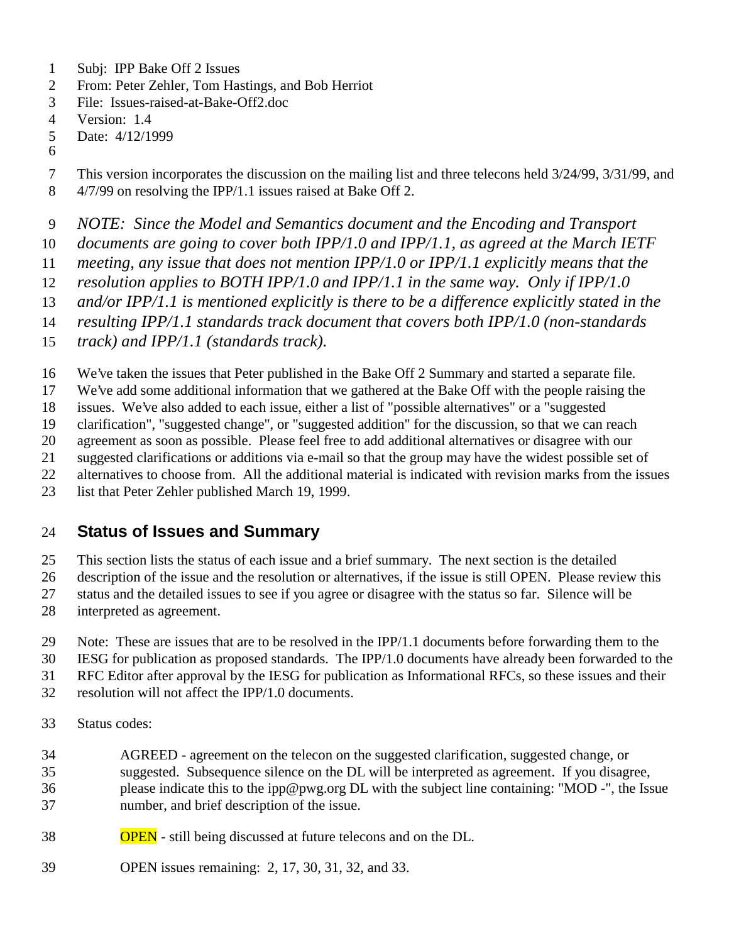- Subj: IPP Bake Off 2 Issues
- From: Peter Zehler, Tom Hastings, and Bob Herriot
- File: Issues-raised-at-Bake-Off2.doc
- Version: 1.4
- Date: 4/12/1999
- This version incorporates the discussion on the mailing list and three telecons held 3/24/99, 3/31/99, and
- 4/7/99 on resolving the IPP/1.1 issues raised at Bake Off 2.
- *NOTE: Since the Model and Semantics document and the Encoding and Transport*
- *documents are going to cover both IPP/1.0 and IPP/1.1, as agreed at the March IETF*
- *meeting, any issue that does not mention IPP/1.0 or IPP/1.1 explicitly means that the*
- *resolution applies to BOTH IPP/1.0 and IPP/1.1 in the same way. Only if IPP/1.0*
- *and/or IPP/1.1 is mentioned explicitly is there to be a difference explicitly stated in the*
- *resulting IPP/1.1 standards track document that covers both IPP/1.0 (non-standards*
- *track) and IPP/1.1 (standards track).*
- We've taken the issues that Peter published in the Bake Off 2 Summary and started a separate file.
- We've add some additional information that we gathered at the Bake Off with the people raising the
- issues. We've also added to each issue, either a list of "possible alternatives" or a "suggested
- clarification", "suggested change", or "suggested addition" for the discussion, so that we can reach
- agreement as soon as possible. Please feel free to add additional alternatives or disagree with our
- suggested clarifications or additions via e-mail so that the group may have the widest possible set of
- alternatives to choose from. All the additional material is indicated with revision marks from the issues
- list that Peter Zehler published March 19, 1999.

## **Status of Issues and Summary**

- This section lists the status of each issue and a brief summary. The next section is the detailed
- description of the issue and the resolution or alternatives, if the issue is still OPEN. Please review this
- status and the detailed issues to see if you agree or disagree with the status so far. Silence will be
- interpreted as agreement.
- Note: These are issues that are to be resolved in the IPP/1.1 documents before forwarding them to the
- IESG for publication as proposed standards. The IPP/1.0 documents have already been forwarded to the
- RFC Editor after approval by the IESG for publication as Informational RFCs, so these issues and their
- resolution will not affect the IPP/1.0 documents.
- Status codes:
- AGREED agreement on the telecon on the suggested clarification, suggested change, or suggested. Subsequence silence on the DL will be interpreted as agreement. If you disagree, please indicate this to the ipp@pwg.org DL with the subject line containing: "MOD -", the Issue number, and brief description of the issue.
- OPEN still being discussed at future telecons and on the DL.
- OPEN issues remaining: 2, 17, 30, 31, 32, and 33.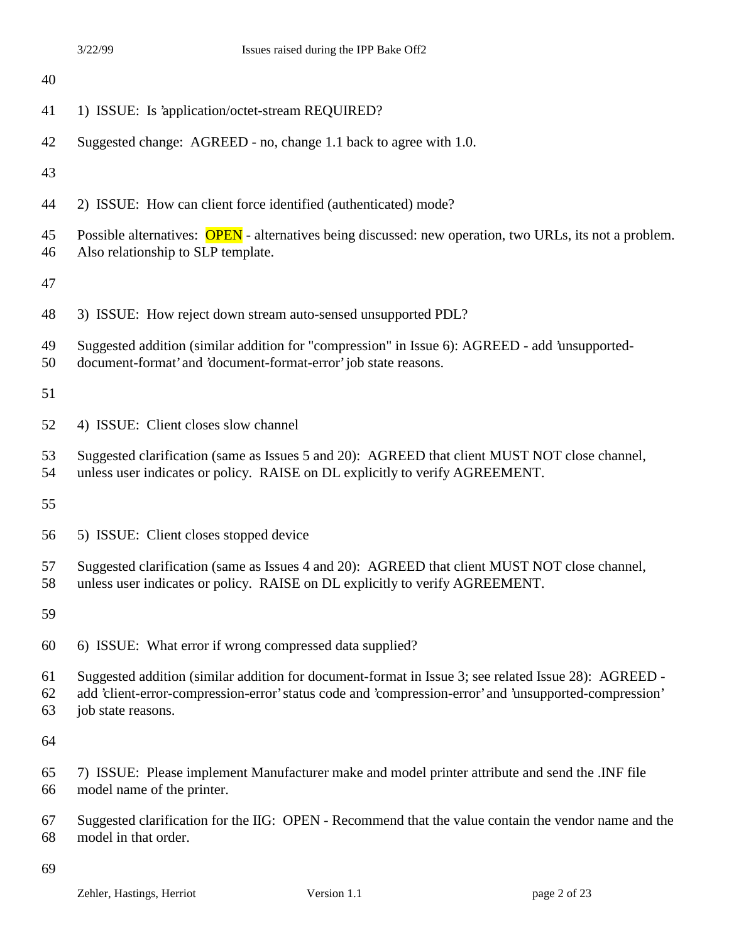| 40             |                                                                                                                                                                                                                                      |
|----------------|--------------------------------------------------------------------------------------------------------------------------------------------------------------------------------------------------------------------------------------|
| 41             | 1) ISSUE: Is 'application/octet-stream REQUIRED?                                                                                                                                                                                     |
| 42             | Suggested change: AGREED - no, change 1.1 back to agree with 1.0.                                                                                                                                                                    |
| 43             |                                                                                                                                                                                                                                      |
| 44             | 2) ISSUE: How can client force identified (authenticated) mode?                                                                                                                                                                      |
| 45<br>46       | Possible alternatives: OPEN - alternatives being discussed: new operation, two URLs, its not a problem.<br>Also relationship to SLP template.                                                                                        |
| 47             |                                                                                                                                                                                                                                      |
| 48             | 3) ISSUE: How reject down stream auto-sensed unsupported PDL?                                                                                                                                                                        |
| 49<br>50       | Suggested addition (similar addition for "compression" in Issue 6): AGREED - add 'unsupported-<br>document-format' and 'document-format-error' job state reasons.                                                                    |
| 51             |                                                                                                                                                                                                                                      |
| 52             | 4) ISSUE: Client closes slow channel                                                                                                                                                                                                 |
| 53<br>54       | Suggested clarification (same as Issues 5 and 20): AGREED that client MUST NOT close channel,<br>unless user indicates or policy. RAISE on DL explicitly to verify AGREEMENT.                                                        |
| 55             |                                                                                                                                                                                                                                      |
| 56             | 5) ISSUE: Client closes stopped device                                                                                                                                                                                               |
| 57<br>58       | Suggested clarification (same as Issues 4 and 20): AGREED that client MUST NOT close channel,<br>unless user indicates or policy. RAISE on DL explicitly to verify AGREEMENT.                                                        |
| 59             |                                                                                                                                                                                                                                      |
| 60             | 6) ISSUE: What error if wrong compressed data supplied?                                                                                                                                                                              |
| 61<br>62<br>63 | Suggested addition (similar addition for document-format in Issue 3; see related Issue 28): AGREED -<br>add 'client-error-compression-error' status code and 'compression-error' and 'unsupported-compression'<br>job state reasons. |
| 64             |                                                                                                                                                                                                                                      |
| 65<br>66       | 7) ISSUE: Please implement Manufacturer make and model printer attribute and send the .INF file<br>model name of the printer.                                                                                                        |
| 67<br>68       | Suggested clarification for the IIG: OPEN - Recommend that the value contain the vendor name and the<br>model in that order.                                                                                                         |
|                |                                                                                                                                                                                                                                      |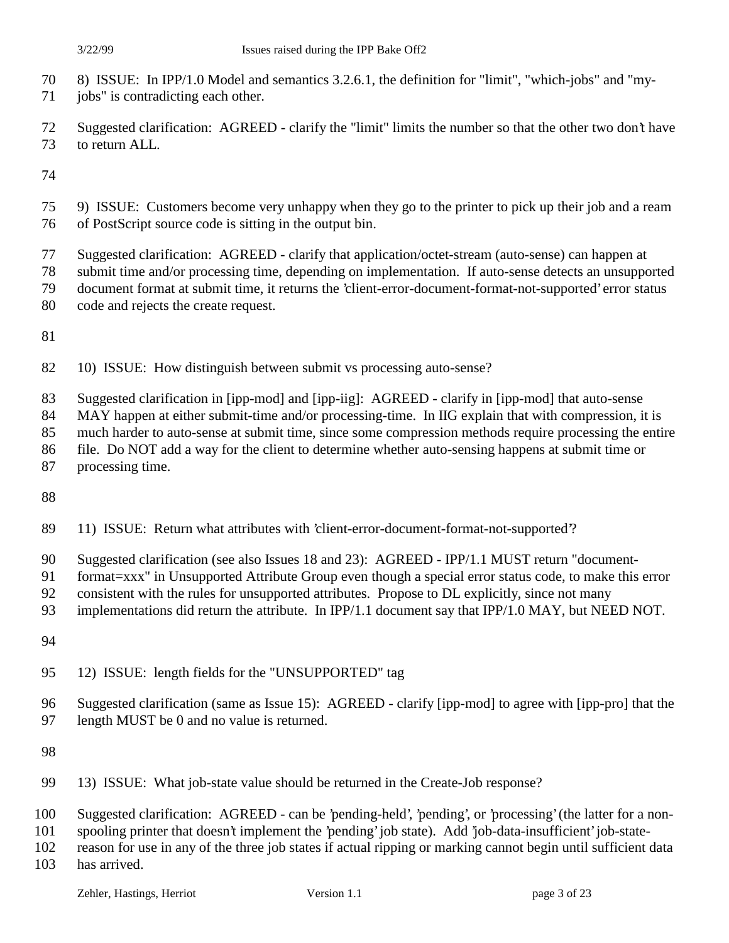- 8) ISSUE: In IPP/1.0 Model and semantics 3.2.6.1, the definition for "limit", "which-jobs" and "my-
- 71 jobs" is contradicting each other.
- Suggested clarification: AGREED clarify the "limit" limits the number so that the other two don't have to return ALL.

- 9) ISSUE: Customers become very unhappy when they go to the printer to pick up their job and a ream of PostScript source code is sitting in the output bin.
- Suggested clarification: AGREED clarify that application/octet-stream (auto-sense) can happen at
- submit time and/or processing time, depending on implementation. If auto-sense detects an unsupported
- document format at submit time, it returns the 'client-error-document-format-not-supported' error status
- code and rejects the create request.
- 
- 10) ISSUE: How distinguish between submit vs processing auto-sense?
- Suggested clarification in [ipp-mod] and [ipp-iig]: AGREED clarify in [ipp-mod] that auto-sense
- 84 MAY happen at either submit-time and/or processing-time. In IIG explain that with compression, it is
- much harder to auto-sense at submit time, since some compression methods require processing the entire
- file. Do NOT add a way for the client to determine whether auto-sensing happens at submit time or
- processing time.
- 
- 11) ISSUE: Return what attributes with 'client-error-document-format-not-supported'?
- Suggested clarification (see also Issues 18 and 23): AGREED IPP/1.1 MUST return "document-
- format=xxx" in Unsupported Attribute Group even though a special error status code, to make this error
- consistent with the rules for unsupported attributes. Propose to DL explicitly, since not many
- 93 implementations did return the attribute. In IPP/1.1 document say that IPP/1.0 MAY, but NEED NOT.
- 
- 12) ISSUE: length fields for the "UNSUPPORTED" tag
- Suggested clarification (same as Issue 15): AGREED clarify [ipp-mod] to agree with [ipp-pro] that the length MUST be 0 and no value is returned.
- 
- 13) ISSUE: What job-state value should be returned in the Create-Job response?
- Suggested clarification: AGREED can be 'pending-held', 'pending', or 'processing' (the latter for a non-
- spooling printer that doesn't implement the 'pending' job state). Add 'job-data-insufficient' job-state-
- reason for use in any of the three job states if actual ripping or marking cannot begin until sufficient data
- has arrived.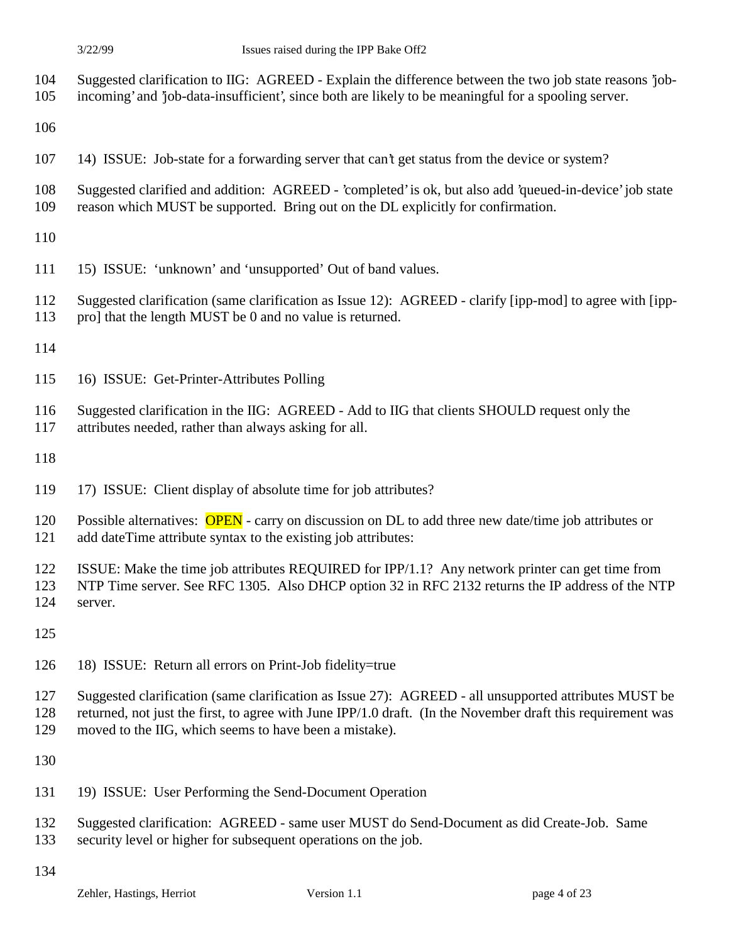- Suggested clarification to IIG: AGREED Explain the difference between the two job state reasons 'job-
- incoming' and 'job-data-insufficient', since both are likely to be meaningful for a spooling server.
- 
- 14) ISSUE: Job-state for a forwarding server that can't get status from the device or system?
- Suggested clarified and addition: AGREED 'completed' is ok, but also add 'queued-in-device' job state reason which MUST be supported. Bring out on the DL explicitly for confirmation.
- 
- 15) ISSUE: 'unknown' and 'unsupported' Out of band values.
- Suggested clarification (same clarification as Issue 12): AGREED clarify [ipp-mod] to agree with [ipp-pro] that the length MUST be 0 and no value is returned.
- 
- 16) ISSUE: Get-Printer-Attributes Polling
- Suggested clarification in the IIG: AGREED Add to IIG that clients SHOULD request only the
- attributes needed, rather than always asking for all.
- 
- 17) ISSUE: Client display of absolute time for job attributes?
- 120 Possible alternatives: **OPEN** carry on discussion on DL to add three new date/time job attributes or add dateTime attribute syntax to the existing job attributes:
- ISSUE: Make the time job attributes REQUIRED for IPP/1.1? Any network printer can get time from
- NTP Time server. See RFC 1305. Also DHCP option 32 in RFC 2132 returns the IP address of the NTP server.
- 
- 18) ISSUE: Return all errors on Print-Job fidelity=true
- Suggested clarification (same clarification as Issue 27): AGREED all unsupported attributes MUST be
- returned, not just the first, to agree with June IPP/1.0 draft. (In the November draft this requirement was
- moved to the IIG, which seems to have been a mistake).
- 
- 19) ISSUE: User Performing the Send-Document Operation
- Suggested clarification: AGREED same user MUST do Send-Document as did Create-Job. Same
- security level or higher for subsequent operations on the job.
-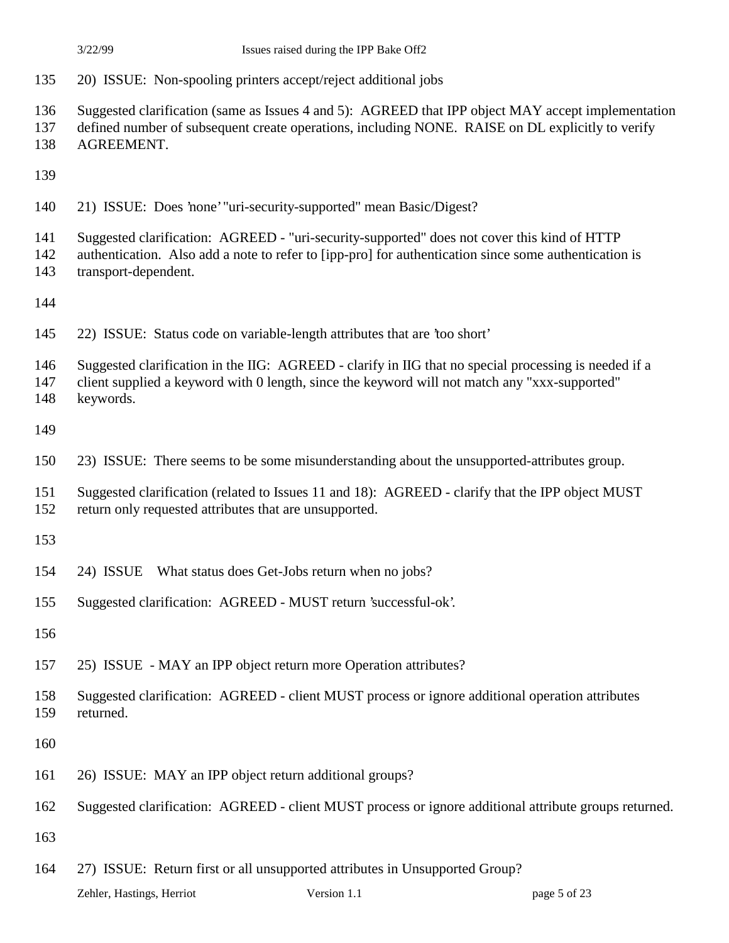- 20) ISSUE: Non-spooling printers accept/reject additional jobs
- Suggested clarification (same as Issues 4 and 5): AGREED that IPP object MAY accept implementation
- defined number of subsequent create operations, including NONE. RAISE on DL explicitly to verify
- AGREEMENT.
- 
- 21) ISSUE: Does 'none' "uri-security-supported" mean Basic/Digest?
- Suggested clarification: AGREED "uri-security-supported" does not cover this kind of HTTP
- authentication. Also add a note to refer to [ipp-pro] for authentication since some authentication is transport-dependent.
- 
- 22) ISSUE: Status code on variable-length attributes that are 'too short'
- Suggested clarification in the IIG: AGREED clarify in IIG that no special processing is needed if a
- client supplied a keyword with 0 length, since the keyword will not match any "xxx-supported" keywords.
- 
- 
- 23) ISSUE: There seems to be some misunderstanding about the unsupported-attributes group.
- Suggested clarification (related to Issues 11 and 18): AGREED clarify that the IPP object MUST return only requested attributes that are unsupported.
- 
- 24) ISSUE What status does Get-Jobs return when no jobs?
- Suggested clarification: AGREED MUST return 'successful-ok'.
- 
- 25) ISSUE MAY an IPP object return more Operation attributes?
- Suggested clarification: AGREED client MUST process or ignore additional operation attributes returned.
- 
- 26) ISSUE: MAY an IPP object return additional groups?
- Suggested clarification: AGREED client MUST process or ignore additional attribute groups returned.
- 
- 27) ISSUE: Return first or all unsupported attributes in Unsupported Group?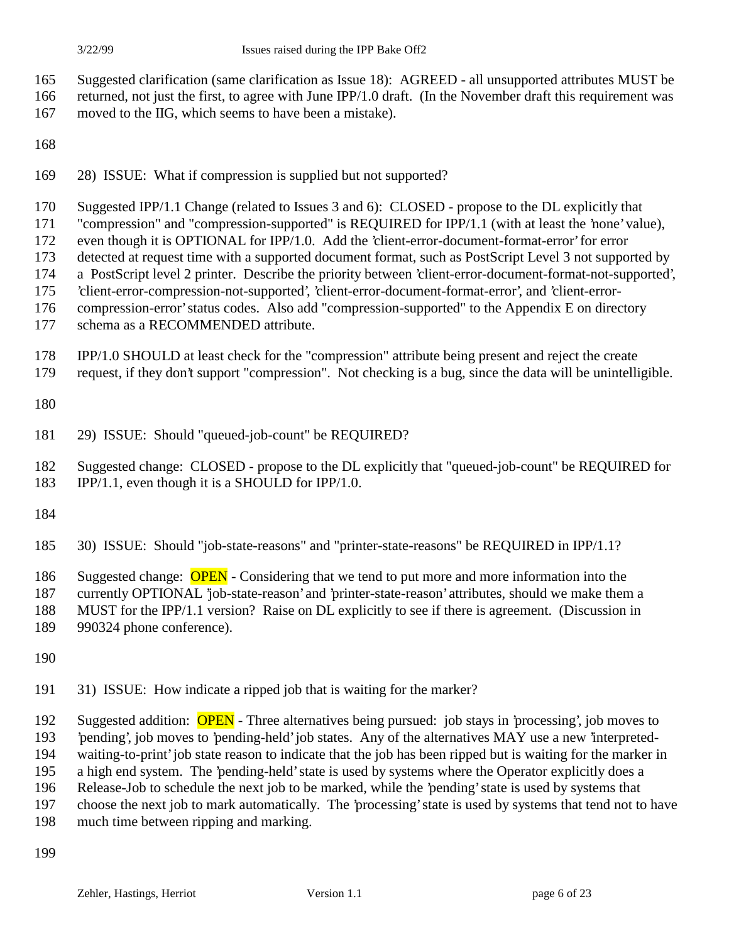- Suggested clarification (same clarification as Issue 18): AGREED all unsupported attributes MUST be
- returned, not just the first, to agree with June IPP/1.0 draft. (In the November draft this requirement was
- moved to the IIG, which seems to have been a mistake).
- 
- 28) ISSUE: What if compression is supplied but not supported?
- Suggested IPP/1.1 Change (related to Issues 3 and 6): CLOSED propose to the DL explicitly that
- "compression" and "compression-supported" is REQUIRED for IPP/1.1 (with at least the 'none' value),
- even though it is OPTIONAL for IPP/1.0. Add the 'client-error-document-format-error' for error
- detected at request time with a supported document format, such as PostScript Level 3 not supported by
- a PostScript level 2 printer. Describe the priority between 'client-error-document-format-not-supported',
- 'client-error-compression-not-supported', 'client-error-document-format-error', and 'client-error-
- compression-error' status codes. Also add "compression-supported" to the Appendix E on directory
- schema as a RECOMMENDED attribute.
- IPP/1.0 SHOULD at least check for the "compression" attribute being present and reject the create
- request, if they don't support "compression". Not checking is a bug, since the data will be unintelligible.
- 
- 29) ISSUE: Should "queued-job-count" be REQUIRED?
- Suggested change: CLOSED propose to the DL explicitly that "queued-job-count" be REQUIRED for
- IPP/1.1, even though it is a SHOULD for IPP/1.0.
- 
- 30) ISSUE: Should "job-state-reasons" and "printer-state-reasons" be REQUIRED in IPP/1.1?
- 186 Suggested change: **OPEN** Considering that we tend to put more and more information into the
- currently OPTIONAL 'job-state-reason' and 'printer-state-reason' attributes, should we make them a
- MUST for the IPP/1.1 version? Raise on DL explicitly to see if there is agreement. (Discussion in
- 990324 phone conference).
- 
- 31) ISSUE: How indicate a ripped job that is waiting for the marker?
- 192 Suggested addition: **OPEN** Three alternatives being pursued: job stays in 'processing', job moves to 'pending', job moves to 'pending-held' job states. Any of the alternatives MAY use a new 'interpreted-
- waiting-to-print' job state reason to indicate that the job has been ripped but is waiting for the marker in
- a high end system. The 'pending-held' state is used by systems where the Operator explicitly does a
- Release-Job to schedule the next job to be marked, while the 'pending' state is used by systems that
- choose the next job to mark automatically. The 'processing' state is used by systems that tend not to have
- much time between ripping and marking.
-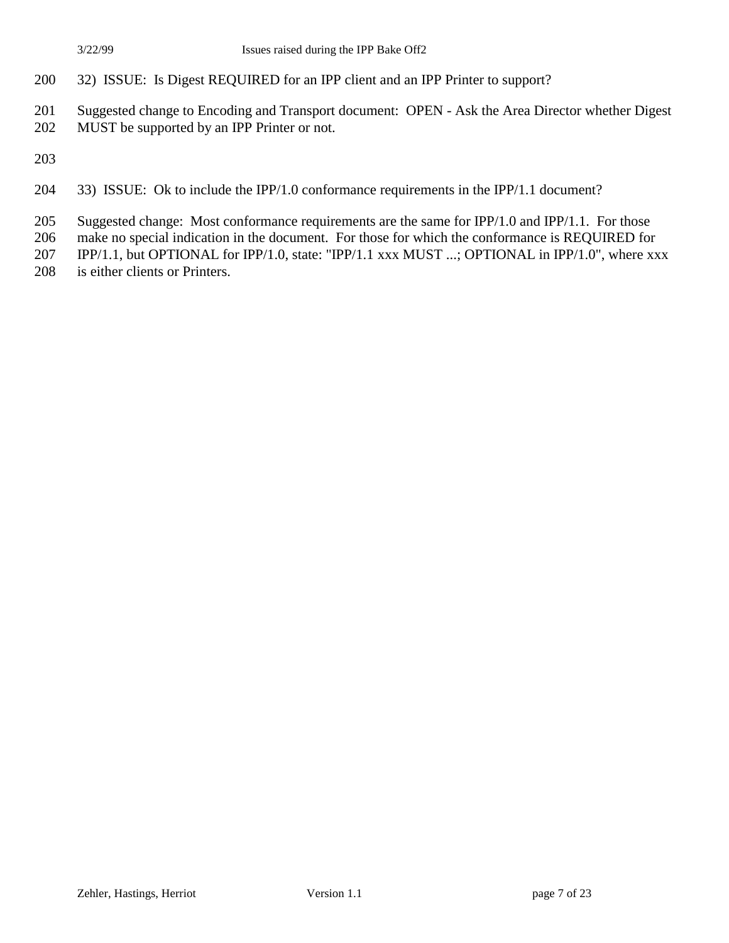- 32) ISSUE: Is Digest REQUIRED for an IPP client and an IPP Printer to support?
- Suggested change to Encoding and Transport document: OPEN Ask the Area Director whether Digest
- MUST be supported by an IPP Printer or not.
- 
- 33) ISSUE: Ok to include the IPP/1.0 conformance requirements in the IPP/1.1 document?
- 205 Suggested change: Most conformance requirements are the same for IPP/1.0 and IPP/1.1. For those
- make no special indication in the document. For those for which the conformance is REQUIRED for
- 207 IPP/1.1, but OPTIONAL for IPP/1.0, state: "IPP/1.1 xxx MUST ...; OPTIONAL in IPP/1.0", where xxx
- is either clients or Printers.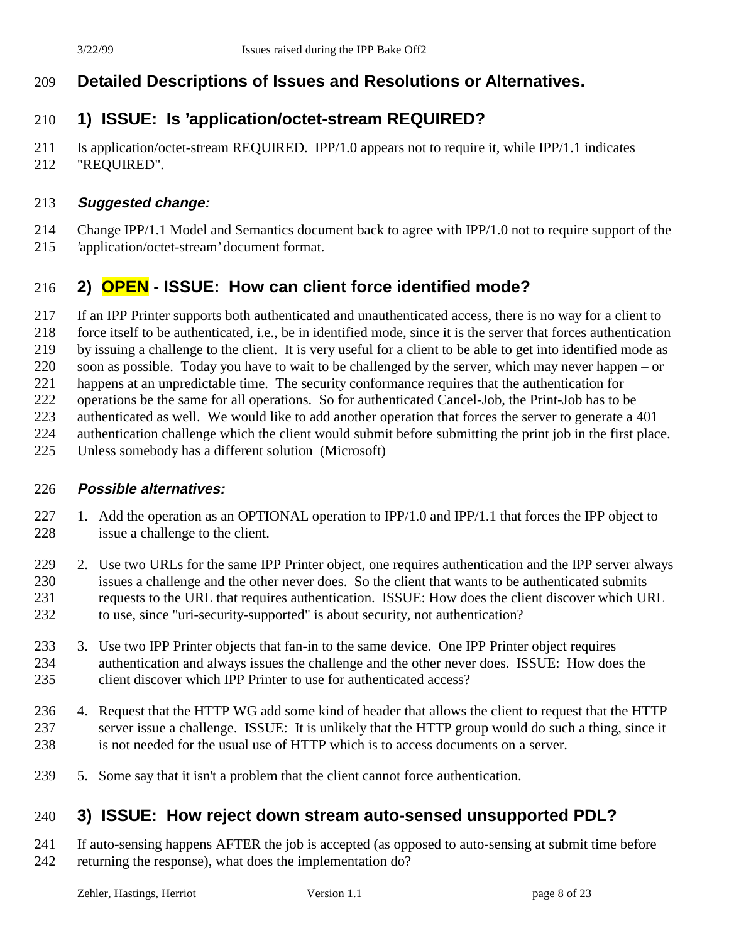## **Detailed Descriptions of Issues and Resolutions or Alternatives.**

## **1) ISSUE: Is 'application/octet-stream REQUIRED?**

 Is application/octet-stream REQUIRED. IPP/1.0 appears not to require it, while IPP/1.1 indicates "REQUIRED".

#### **Suggested change:**

- Change IPP/1.1 Model and Semantics document back to agree with IPP/1.0 not to require support of the
- 'application/octet-stream' document format.

## **2) OPEN - ISSUE: How can client force identified mode?**

- If an IPP Printer supports both authenticated and unauthenticated access, there is no way for a client to
- force itself to be authenticated, i.e., be in identified mode, since it is the server that forces authentication
- by issuing a challenge to the client. It is very useful for a client to be able to get into identified mode as
- soon as possible. Today you have to wait to be challenged by the server, which may never happen or
- happens at an unpredictable time. The security conformance requires that the authentication for
- operations be the same for all operations. So for authenticated Cancel-Job, the Print-Job has to be
- authenticated as well. We would like to add another operation that forces the server to generate a 401
- authentication challenge which the client would submit before submitting the print job in the first place.
- Unless somebody has a different solution (Microsoft)

#### **Possible alternatives:**

- 1. Add the operation as an OPTIONAL operation to IPP/1.0 and IPP/1.1 that forces the IPP object to 228 issue a challenge to the client.
- 229 2. Use two URLs for the same IPP Printer object, one requires authentication and the IPP server always issues a challenge and the other never does. So the client that wants to be authenticated submits requests to the URL that requires authentication. ISSUE: How does the client discover which URL to use, since "uri-security-supported" is about security, not authentication?
- 3. Use two IPP Printer objects that fan-in to the same device. One IPP Printer object requires authentication and always issues the challenge and the other never does. ISSUE: How does the client discover which IPP Printer to use for authenticated access?
- 4. Request that the HTTP WG add some kind of header that allows the client to request that the HTTP server issue a challenge. ISSUE: It is unlikely that the HTTP group would do such a thing, since it is not needed for the usual use of HTTP which is to access documents on a server.
- 5. Some say that it isn't a problem that the client cannot force authentication.

## **3) ISSUE: How reject down stream auto-sensed unsupported PDL?**

 If auto-sensing happens AFTER the job is accepted (as opposed to auto-sensing at submit time before returning the response), what does the implementation do?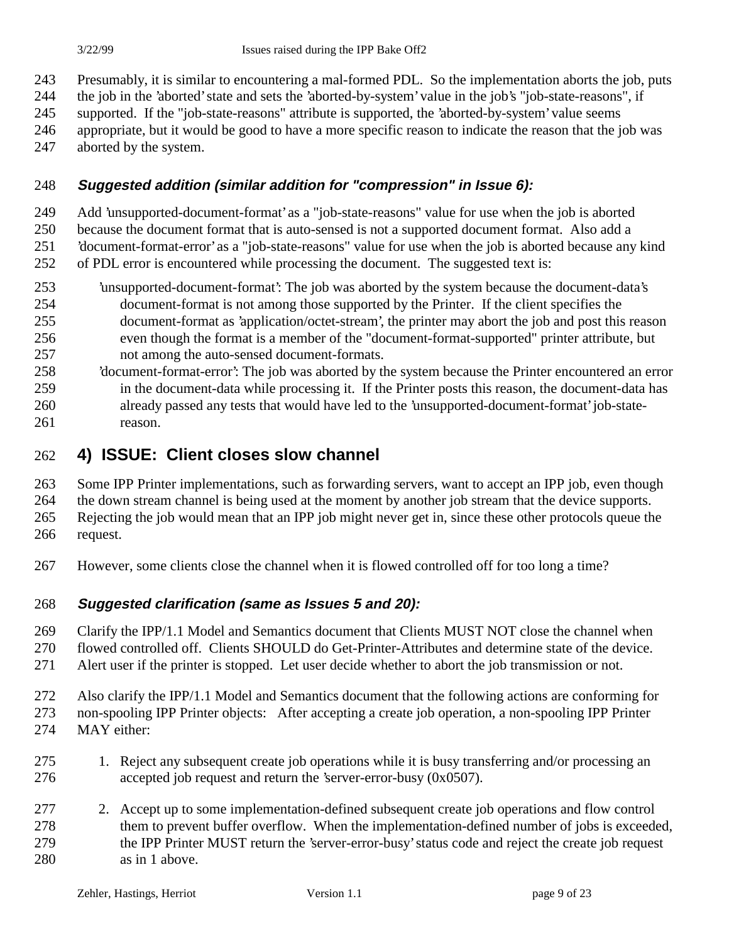Presumably, it is similar to encountering a mal-formed PDL. So the implementation aborts the job, puts

the job in the 'aborted' state and sets the 'aborted-by-system' value in the job's "job-state-reasons", if

supported. If the "job-state-reasons" attribute is supported, the 'aborted-by-system' value seems

- appropriate, but it would be good to have a more specific reason to indicate the reason that the job was
- aborted by the system.

#### **Suggested addition (similar addition for "compression" in Issue 6):**

Add 'unsupported-document-format' as a "job-state-reasons" value for use when the job is aborted

because the document format that is auto-sensed is not a supported document format. Also add a

'document-format-error' as a "job-state-reasons" value for use when the job is aborted because any kind

- of PDL error is encountered while processing the document. The suggested text is:
- 'unsupported-document-format': The job was aborted by the system because the document-data's document-format is not among those supported by the Printer. If the client specifies the document-format as 'application/octet-stream', the printer may abort the job and post this reason even though the format is a member of the "document-format-supported" printer attribute, but not among the auto-sensed document-formats.
- 'document-format-error': The job was aborted by the system because the Printer encountered an error in the document-data while processing it. If the Printer posts this reason, the document-data has already passed any tests that would have led to the 'unsupported-document-format' job-state-reason.

## **4) ISSUE: Client closes slow channel**

Some IPP Printer implementations, such as forwarding servers, want to accept an IPP job, even though

the down stream channel is being used at the moment by another job stream that the device supports.

 Rejecting the job would mean that an IPP job might never get in, since these other protocols queue the request.

However, some clients close the channel when it is flowed controlled off for too long a time?

#### **Suggested clarification (same as Issues 5 and 20):**

Clarify the IPP/1.1 Model and Semantics document that Clients MUST NOT close the channel when

flowed controlled off. Clients SHOULD do Get-Printer-Attributes and determine state of the device.

Alert user if the printer is stopped. Let user decide whether to abort the job transmission or not.

- Also clarify the IPP/1.1 Model and Semantics document that the following actions are conforming for non-spooling IPP Printer objects: After accepting a create job operation, a non-spooling IPP Printer MAY either:
- 1. Reject any subsequent create job operations while it is busy transferring and/or processing an accepted job request and return the 'server-error-busy (0x0507).
- 2. Accept up to some implementation-defined subsequent create job operations and flow control them to prevent buffer overflow. When the implementation-defined number of jobs is exceeded, the IPP Printer MUST return the 'server-error-busy' status code and reject the create job request as in 1 above.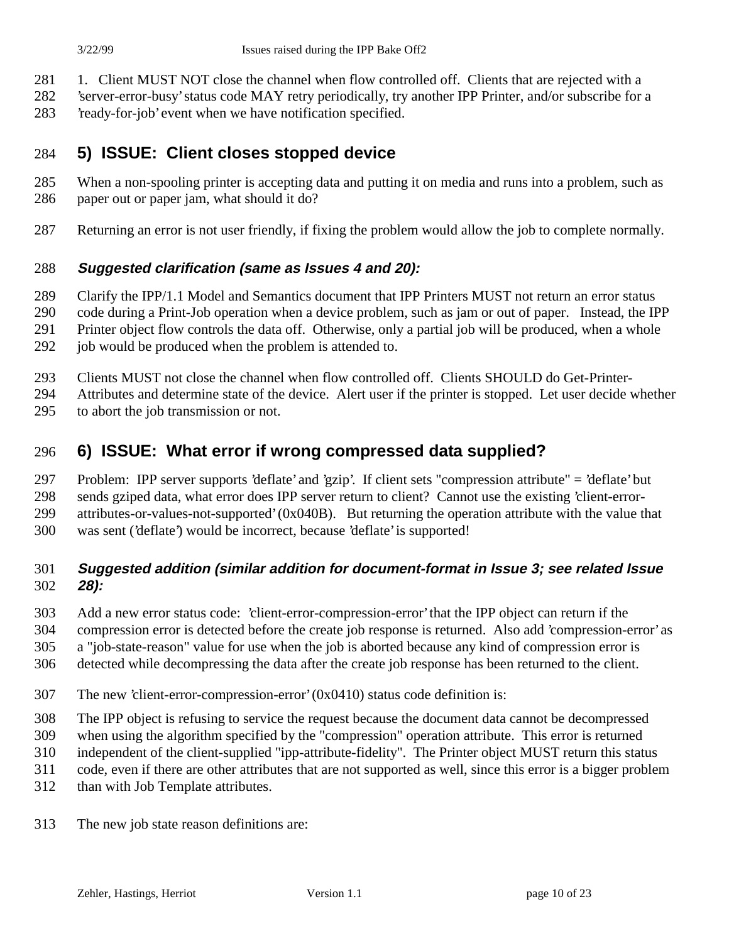- 281 1. Client MUST NOT close the channel when flow controlled off. Clients that are rejected with a
- 'server-error-busy' status code MAY retry periodically, try another IPP Printer, and/or subscribe for a
- 'ready-for-job' event when we have notification specified.

## **5) ISSUE: Client closes stopped device**

- When a non-spooling printer is accepting data and putting it on media and runs into a problem, such as paper out or paper jam, what should it do?
- Returning an error is not user friendly, if fixing the problem would allow the job to complete normally.

#### **Suggested clarification (same as Issues 4 and 20):**

- Clarify the IPP/1.1 Model and Semantics document that IPP Printers MUST not return an error status
- code during a Print-Job operation when a device problem, such as jam or out of paper. Instead, the IPP
- Printer object flow controls the data off. Otherwise, only a partial job will be produced, when a whole
- 292 job would be produced when the problem is attended to.
- Clients MUST not close the channel when flow controlled off. Clients SHOULD do Get-Printer-
- Attributes and determine state of the device. Alert user if the printer is stopped. Let user decide whether
- to abort the job transmission or not.

## **6) ISSUE: What error if wrong compressed data supplied?**

- Problem: IPP server supports 'deflate' and 'gzip'. If client sets "compression attribute" = 'deflate' but
- sends gziped data, what error does IPP server return to client? Cannot use the existing 'client-error-
- attributes-or-values-not-supported' (0x040B). But returning the operation attribute with the value that
- was sent ('deflate') would be incorrect, because 'deflate' is supported!

#### **Suggested addition (similar addition for document-format in Issue 3; see related Issue 28):**

- Add a new error status code: 'client-error-compression-error' that the IPP object can return if the
- compression error is detected before the create job response is returned. Also add 'compression-error' as
- a "job-state-reason" value for use when the job is aborted because any kind of compression error is
- detected while decompressing the data after the create job response has been returned to the client.
- The new 'client-error-compression-error' (0x0410) status code definition is:
- The IPP object is refusing to service the request because the document data cannot be decompressed
- when using the algorithm specified by the "compression" operation attribute. This error is returned
- independent of the client-supplied "ipp-attribute-fidelity". The Printer object MUST return this status
- code, even if there are other attributes that are not supported as well, since this error is a bigger problem
- than with Job Template attributes.
- The new job state reason definitions are: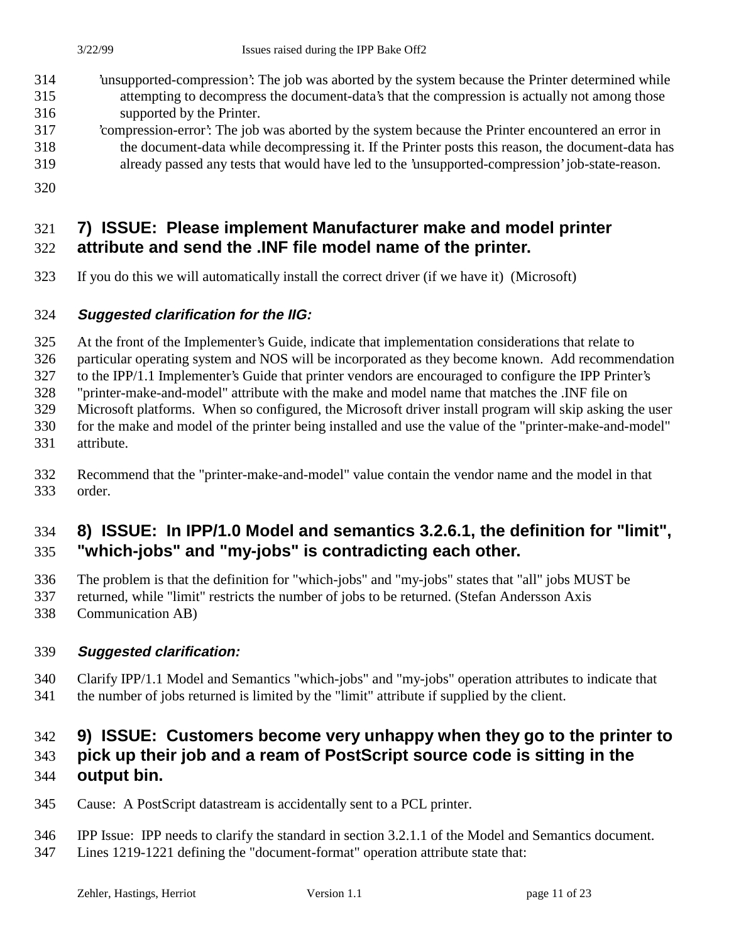- 'unsupported-compression': The job was aborted by the system because the Printer determined while attempting to decompress the document-data's that the compression is actually not among those supported by the Printer.
- 'compression-error': The job was aborted by the system because the Printer encountered an error in the document-data while decompressing it. If the Printer posts this reason, the document-data has already passed any tests that would have led to the 'unsupported-compression' job-state-reason.
- 

# **7) ISSUE: Please implement Manufacturer make and model printer**

# **attribute and send the .INF file model name of the printer.**

If you do this we will automatically install the correct driver (if we have it) (Microsoft)

#### **Suggested clarification for the IIG:**

At the front of the Implementer's Guide, indicate that implementation considerations that relate to

particular operating system and NOS will be incorporated as they become known. Add recommendation

to the IPP/1.1 Implementer's Guide that printer vendors are encouraged to configure the IPP Printer's

"printer-make-and-model" attribute with the make and model name that matches the .INF file on

Microsoft platforms. When so configured, the Microsoft driver install program will skip asking the user

- for the make and model of the printer being installed and use the value of the "printer-make-and-model"
- attribute.
- Recommend that the "printer-make-and-model" value contain the vendor name and the model in that order.

## **8) ISSUE: In IPP/1.0 Model and semantics 3.2.6.1, the definition for "limit", "which-jobs" and "my-jobs" is contradicting each other.**

The problem is that the definition for "which-jobs" and "my-jobs" states that "all" jobs MUST be

- returned, while "limit" restricts the number of jobs to be returned. (Stefan Andersson Axis
- Communication AB)

## **Suggested clarification:**

 Clarify IPP/1.1 Model and Semantics "which-jobs" and "my-jobs" operation attributes to indicate that the number of jobs returned is limited by the "limit" attribute if supplied by the client.

# **9) ISSUE: Customers become very unhappy when they go to the printer to**

# **pick up their job and a ream of PostScript source code is sitting in the**

## **output bin.**

- Cause: A PostScript datastream is accidentally sent to a PCL printer.
- IPP Issue: IPP needs to clarify the standard in section 3.2.1.1 of the Model and Semantics document.
- Lines 1219-1221 defining the "document-format" operation attribute state that: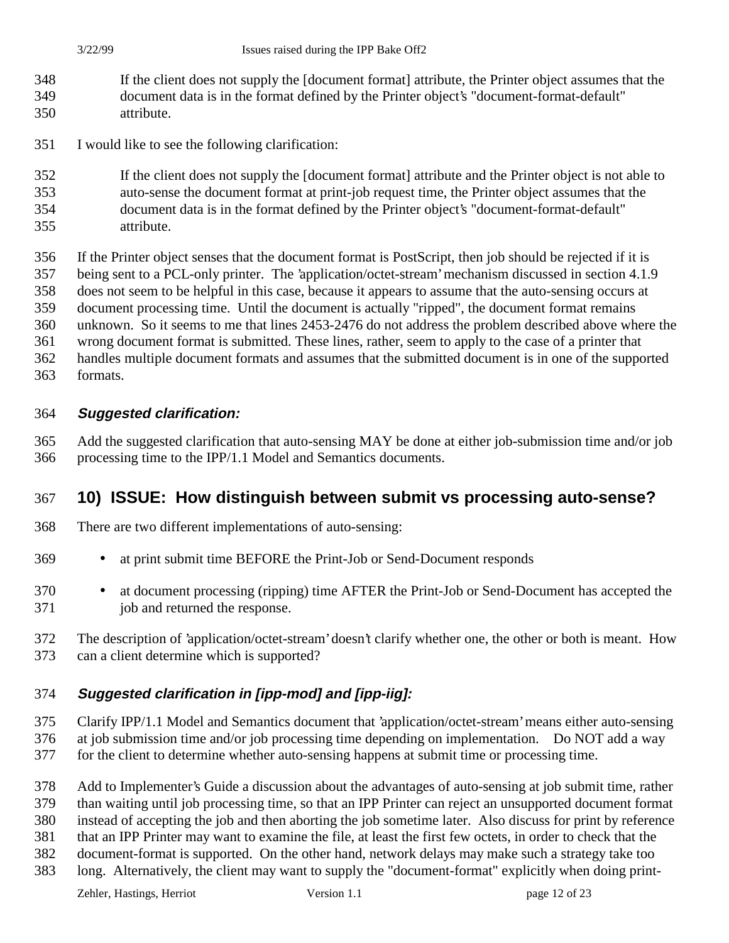- If the client does not supply the [document format] attribute, the Printer object assumes that the document data is in the format defined by the Printer object's "document-format-default" attribute.
- I would like to see the following clarification:
- If the client does not supply the [document format] attribute and the Printer object is not able to
- auto-sense the document format at print-job request time, the Printer object assumes that the
- document data is in the format defined by the Printer object's "document-format-default" attribute.
- If the Printer object senses that the document format is PostScript, then job should be rejected if it is
- being sent to a PCL-only printer. The 'application/octet-stream' mechanism discussed in section 4.1.9
- does not seem to be helpful in this case, because it appears to assume that the auto-sensing occurs at

document processing time. Until the document is actually "ripped", the document format remains

unknown. So it seems to me that lines 2453-2476 do not address the problem described above where the

- wrong document format is submitted. These lines, rather, seem to apply to the case of a printer that
- handles multiple document formats and assumes that the submitted document is in one of the supported
- formats.

#### **Suggested clarification:**

 Add the suggested clarification that auto-sensing MAY be done at either job-submission time and/or job processing time to the IPP/1.1 Model and Semantics documents.

## **10) ISSUE: How distinguish between submit vs processing auto-sense?**

- There are two different implementations of auto-sensing:
- at print submit time BEFORE the Print-Job or Send-Document responds
- at document processing (ripping) time AFTER the Print-Job or Send-Document has accepted the job and returned the response.
- The description of 'application/octet-stream' doesn't clarify whether one, the other or both is meant. How can a client determine which is supported?

#### **Suggested clarification in [ipp-mod] and [ipp-iig]:**

- Clarify IPP/1.1 Model and Semantics document that 'application/octet-stream' means either auto-sensing at job submission time and/or job processing time depending on implementation. Do NOT add a way for the client to determine whether auto-sensing happens at submit time or processing time.
- Add to Implementer's Guide a discussion about the advantages of auto-sensing at job submit time, rather
- than waiting until job processing time, so that an IPP Printer can reject an unsupported document format
- instead of accepting the job and then aborting the job sometime later. Also discuss for print by reference
- that an IPP Printer may want to examine the file, at least the first few octets, in order to check that the
- document-format is supported. On the other hand, network delays may make such a strategy take too

## long. Alternatively, the client may want to supply the "document-format" explicitly when doing print-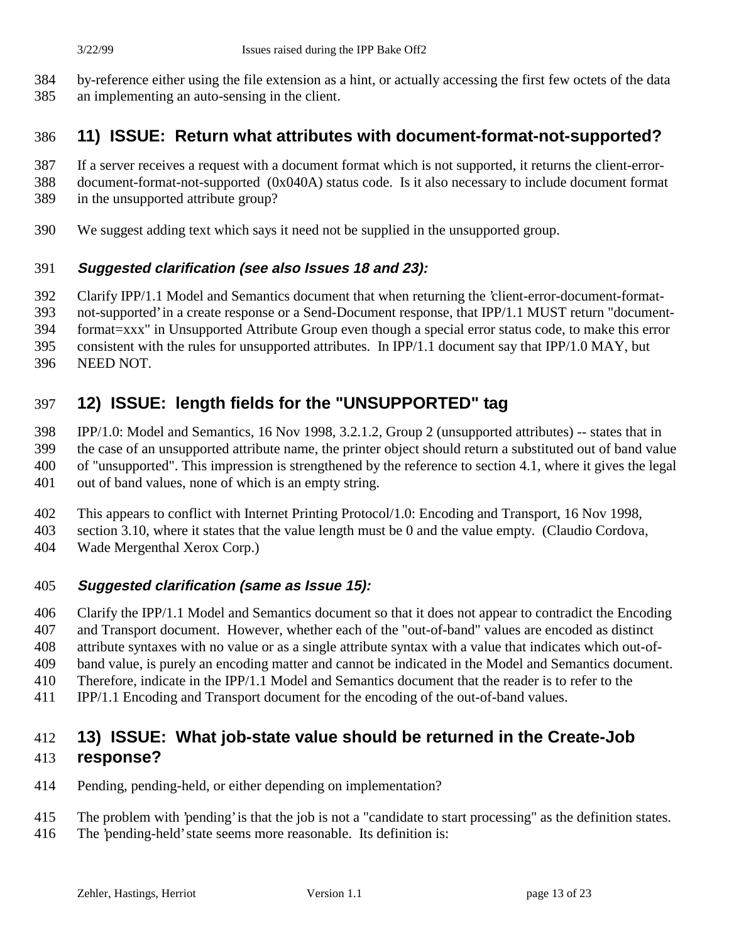- by-reference either using the file extension as a hint, or actually accessing the first few octets of the data
- an implementing an auto-sensing in the client.

## **11) ISSUE: Return what attributes with document-format-not-supported?**

- If a server receives a request with a document format which is not supported, it returns the client-error-
- document-format-not-supported (0x040A) status code. Is it also necessary to include document format
- in the unsupported attribute group?
- We suggest adding text which says it need not be supplied in the unsupported group.

#### **Suggested clarification (see also Issues 18 and 23):**

- Clarify IPP/1.1 Model and Semantics document that when returning the 'client-error-document-format-
- not-supported' in a create response or a Send-Document response, that IPP/1.1 MUST return "document-
- format=xxx" in Unsupported Attribute Group even though a special error status code, to make this error
- consistent with the rules for unsupported attributes. In IPP/1.1 document say that IPP/1.0 MAY, but
- NEED NOT.

## **12) ISSUE: length fields for the "UNSUPPORTED" tag**

IPP/1.0: Model and Semantics, 16 Nov 1998, 3.2.1.2, Group 2 (unsupported attributes) -- states that in

the case of an unsupported attribute name, the printer object should return a substituted out of band value

of "unsupported". This impression is strengthened by the reference to section 4.1, where it gives the legal

- out of band values, none of which is an empty string.
- This appears to conflict with Internet Printing Protocol/1.0: Encoding and Transport, 16 Nov 1998,
- section 3.10, where it states that the value length must be 0 and the value empty. (Claudio Cordova, Wade Mergenthal Xerox Corp.)
- 

#### **Suggested clarification (same as Issue 15):**

 Clarify the IPP/1.1 Model and Semantics document so that it does not appear to contradict the Encoding and Transport document. However, whether each of the "out-of-band" values are encoded as distinct

- attribute syntaxes with no value or as a single attribute syntax with a value that indicates which out-of-band value, is purely an encoding matter and cannot be indicated in the Model and Semantics document.
- Therefore, indicate in the IPP/1.1 Model and Semantics document that the reader is to refer to the
- IPP/1.1 Encoding and Transport document for the encoding of the out-of-band values.

## **13) ISSUE: What job-state value should be returned in the Create-Job response?**

- Pending, pending-held, or either depending on implementation?
- The problem with 'pending' is that the job is not a "candidate to start processing" as the definition states.
- The 'pending-held' state seems more reasonable. Its definition is: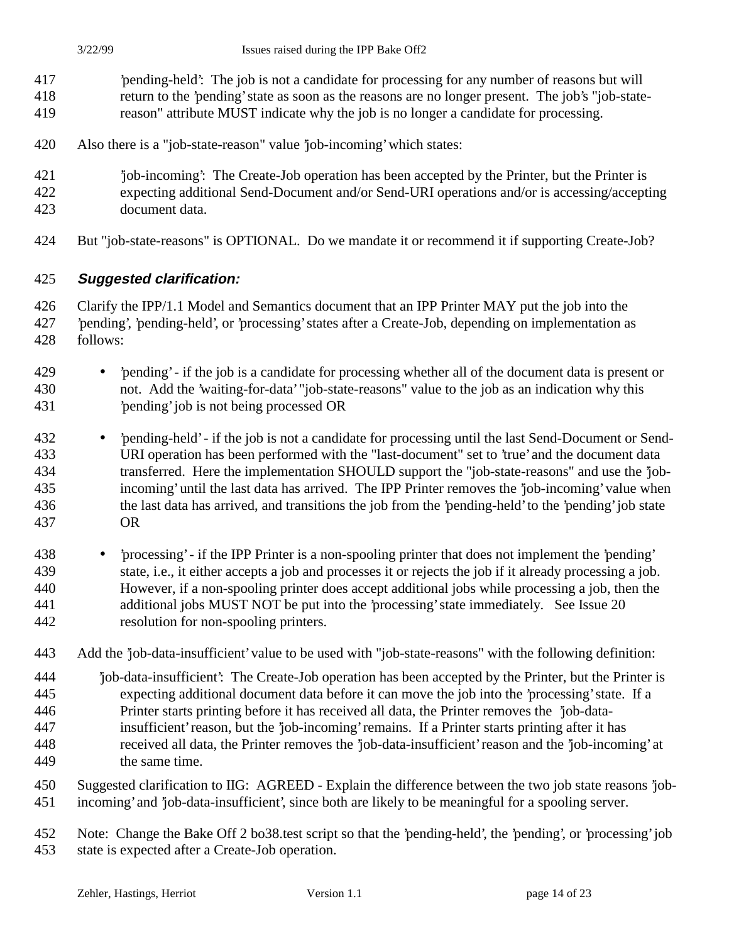- 'pending-held': The job is not a candidate for processing for any number of reasons but will return to the 'pending' state as soon as the reasons are no longer present. The job's "job-state-
- reason" attribute MUST indicate why the job is no longer a candidate for processing.
- Also there is a "job-state-reason" value 'job-incoming' which states:
- 'job-incoming': The Create-Job operation has been accepted by the Printer, but the Printer is expecting additional Send-Document and/or Send-URI operations and/or is accessing/accepting
- document data.
	- But "job-state-reasons" is OPTIONAL. Do we mandate it or recommend it if supporting Create-Job?

#### **Suggested clarification:**

 Clarify the IPP/1.1 Model and Semantics document that an IPP Printer MAY put the job into the 'pending', 'pending-held', or 'processing' states after a Create-Job, depending on implementation as follows:

- 'pending' if the job is a candidate for processing whether all of the document data is present or not. Add the 'waiting-for-data' "job-state-reasons" value to the job as an indication why this 'pending' job is not being processed OR
- 'pending-held' if the job is not a candidate for processing until the last Send-Document or Send- URI operation has been performed with the "last-document" set to 'true' and the document data transferred. Here the implementation SHOULD support the "job-state-reasons" and use the 'job- incoming' until the last data has arrived. The IPP Printer removes the 'job-incoming' value when the last data has arrived, and transitions the job from the 'pending-held' to the 'pending' job state OR
- 'processing' if the IPP Printer is a non-spooling printer that does not implement the 'pending' state, i.e., it either accepts a job and processes it or rejects the job if it already processing a job. However, if a non-spooling printer does accept additional jobs while processing a job, then the additional jobs MUST NOT be put into the 'processing' state immediately. See Issue 20 resolution for non-spooling printers.
- Add the 'job-data-insufficient' value to be used with "job-state-reasons" with the following definition:
- 'job-data-insufficient': The Create-Job operation has been accepted by the Printer, but the Printer is expecting additional document data before it can move the job into the 'processing' state. If a
- Printer starts printing before it has received all data, the Printer removes the 'job-data-
- insufficient' reason, but the 'job-incoming' remains. If a Printer starts printing after it has
- received all data, the Printer removes the 'job-data-insufficient' reason and the 'job-incoming' at the same time.
- Suggested clarification to IIG: AGREED Explain the difference between the two job state reasons 'job-incoming' and 'job-data-insufficient', since both are likely to be meaningful for a spooling server.

 Note: Change the Bake Off 2 bo38.test script so that the 'pending-held', the 'pending', or 'processing' job state is expected after a Create-Job operation.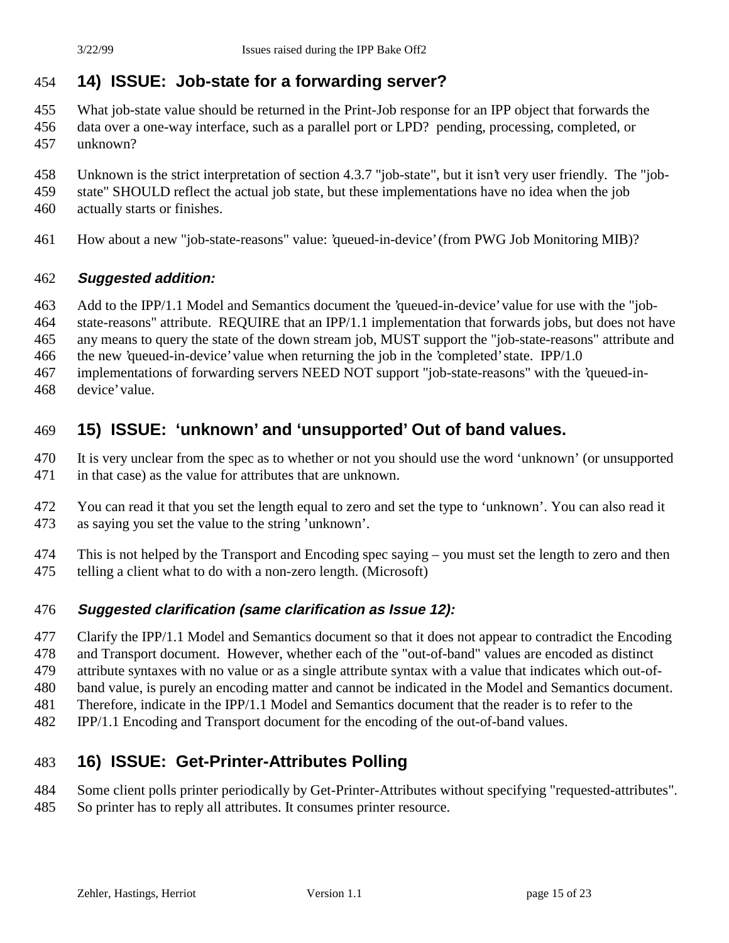## **14) ISSUE: Job-state for a forwarding server?**

- What job-state value should be returned in the Print-Job response for an IPP object that forwards the
- data over a one-way interface, such as a parallel port or LPD? pending, processing, completed, or unknown?
- Unknown is the strict interpretation of section 4.3.7 "job-state", but it isn't very user friendly. The "job-
- state" SHOULD reflect the actual job state, but these implementations have no idea when the job
- actually starts or finishes.
- How about a new "job-state-reasons" value: 'queued-in-device' (from PWG Job Monitoring MIB)?

#### **Suggested addition:**

- Add to the IPP/1.1 Model and Semantics document the 'queued-in-device' value for use with the "job-
- state-reasons" attribute. REQUIRE that an IPP/1.1 implementation that forwards jobs, but does not have
- any means to query the state of the down stream job, MUST support the "job-state-reasons" attribute and
- the new 'queued-in-device' value when returning the job in the 'completed' state. IPP/1.0
- implementations of forwarding servers NEED NOT support "job-state-reasons" with the 'queued-in-
- device' value.

## **15) ISSUE: 'unknown' and 'unsupported' Out of band values.**

- It is very unclear from the spec as to whether or not you should use the word 'unknown' (or unsupported in that case) as the value for attributes that are unknown.
- You can read it that you set the length equal to zero and set the type to 'unknown'. You can also read it as saying you set the value to the string 'unknown'.
- This is not helped by the Transport and Encoding spec saying you must set the length to zero and then telling a client what to do with a non-zero length. (Microsoft)

#### **Suggested clarification (same clarification as Issue 12):**

- 477 Clarify the IPP/1.1 Model and Semantics document so that it does not appear to contradict the Encoding
- and Transport document. However, whether each of the "out-of-band" values are encoded as distinct
- attribute syntaxes with no value or as a single attribute syntax with a value that indicates which out-of-
- band value, is purely an encoding matter and cannot be indicated in the Model and Semantics document.
- Therefore, indicate in the IPP/1.1 Model and Semantics document that the reader is to refer to the
- IPP/1.1 Encoding and Transport document for the encoding of the out-of-band values.

## **16) ISSUE: Get-Printer-Attributes Polling**

- Some client polls printer periodically by Get-Printer-Attributes without specifying "requested-attributes".
- So printer has to reply all attributes. It consumes printer resource.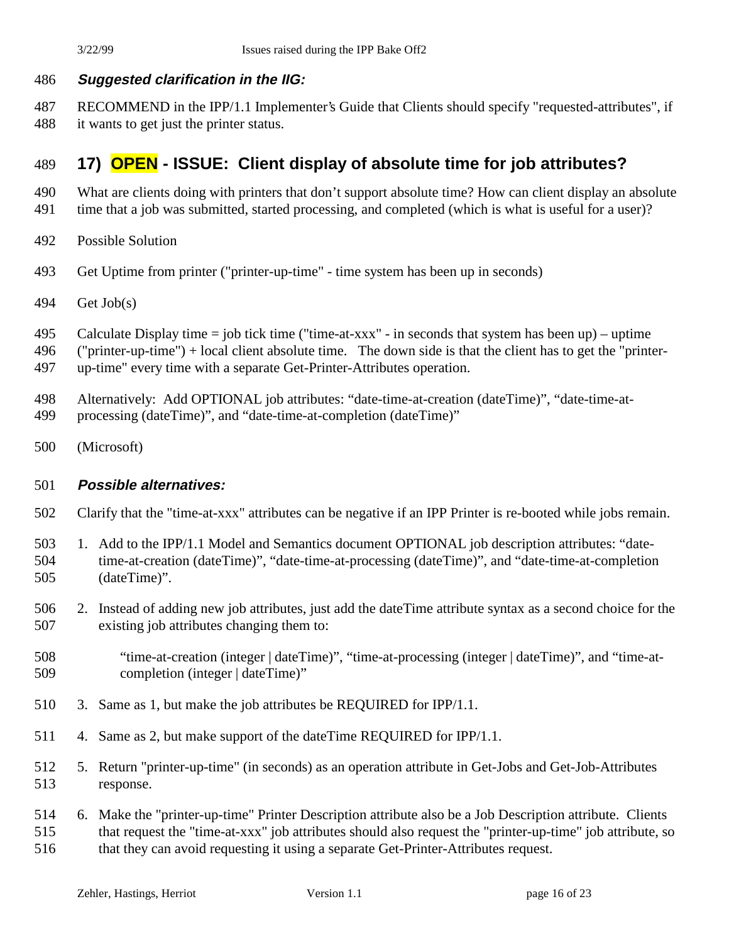#### **Suggested clarification in the IIG:**

 RECOMMEND in the IPP/1.1 Implementer's Guide that Clients should specify "requested-attributes", if it wants to get just the printer status.

## **17) OPEN - ISSUE: Client display of absolute time for job attributes?**

- What are clients doing with printers that don't support absolute time? How can client display an absolute
- 491 time that a job was submitted, started processing, and completed (which is what is useful for a user)?
- Possible Solution
- Get Uptime from printer ("printer-up-time" time system has been up in seconds)
- Get Job(s)
- Calculate Display time = job tick time ("time-at-xxx" in seconds that system has been up) uptime
- ("printer-up-time") + local client absolute time. The down side is that the client has to get the "printer-
- up-time" every time with a separate Get-Printer-Attributes operation.
- Alternatively: Add OPTIONAL job attributes: "date-time-at-creation (dateTime)", "date-time-at-
- processing (dateTime)", and "date-time-at-completion (dateTime)"
- (Microsoft)

#### **Possible alternatives:**

- Clarify that the "time-at-xxx" attributes can be negative if an IPP Printer is re-booted while jobs remain.
- 1. Add to the IPP/1.1 Model and Semantics document OPTIONAL job description attributes: "date- time-at-creation (dateTime)", "date-time-at-processing (dateTime)", and "date-time-at-completion (dateTime)".
- 2. Instead of adding new job attributes, just add the dateTime attribute syntax as a second choice for the existing job attributes changing them to:
- "time-at-creation (integer | dateTime)", "time-at-processing (integer | dateTime)", and "time-at-completion (integer | dateTime)"
- 3. Same as 1, but make the job attributes be REQUIRED for IPP/1.1.
- 4. Same as 2, but make support of the dateTime REQUIRED for IPP/1.1.
- 5. Return "printer-up-time" (in seconds) as an operation attribute in Get-Jobs and Get-Job-Attributes response.
- 6. Make the "printer-up-time" Printer Description attribute also be a Job Description attribute. Clients that request the "time-at-xxx" job attributes should also request the "printer-up-time" job attribute, so that they can avoid requesting it using a separate Get-Printer-Attributes request.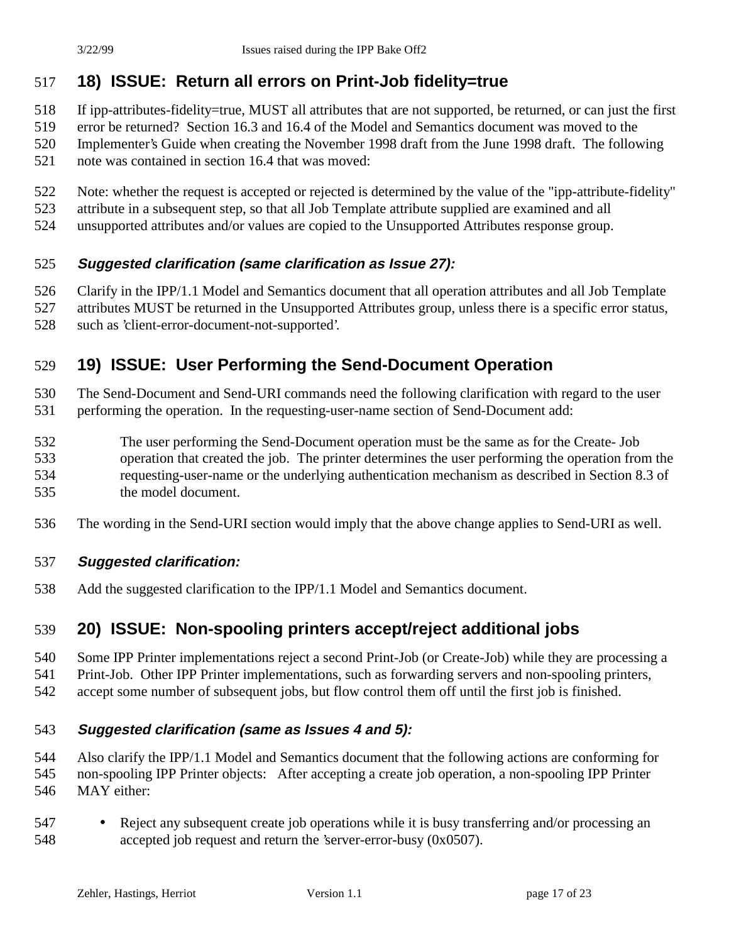## **18) ISSUE: Return all errors on Print-Job fidelity=true**

- If ipp-attributes-fidelity=true, MUST all attributes that are not supported, be returned, or can just the first
- error be returned? Section 16.3 and 16.4 of the Model and Semantics document was moved to the
- Implementer's Guide when creating the November 1998 draft from the June 1998 draft. The following
- note was contained in section 16.4 that was moved:
- Note: whether the request is accepted or rejected is determined by the value of the "ipp-attribute-fidelity"
- attribute in a subsequent step, so that all Job Template attribute supplied are examined and all
- unsupported attributes and/or values are copied to the Unsupported Attributes response group.

#### **Suggested clarification (same clarification as Issue 27):**

- Clarify in the IPP/1.1 Model and Semantics document that all operation attributes and all Job Template
- attributes MUST be returned in the Unsupported Attributes group, unless there is a specific error status,
- such as 'client-error-document-not-supported'.

## **19) ISSUE: User Performing the Send-Document Operation**

The Send-Document and Send-URI commands need the following clarification with regard to the user

- performing the operation. In the requesting-user-name section of Send-Document add:
- The user performing the Send-Document operation must be the same as for the Create- Job operation that created the job. The printer determines the user performing the operation from the requesting-user-name or the underlying authentication mechanism as described in Section 8.3 of the model document.
- The wording in the Send-URI section would imply that the above change applies to Send-URI as well.

#### **Suggested clarification:**

Add the suggested clarification to the IPP/1.1 Model and Semantics document.

## **20) ISSUE: Non-spooling printers accept/reject additional jobs**

- Some IPP Printer implementations reject a second Print-Job (or Create-Job) while they are processing a
- Print-Job. Other IPP Printer implementations, such as forwarding servers and non-spooling printers,
- accept some number of subsequent jobs, but flow control them off until the first job is finished.

#### **Suggested clarification (same as Issues 4 and 5):**

- Also clarify the IPP/1.1 Model and Semantics document that the following actions are conforming for
- non-spooling IPP Printer objects: After accepting a create job operation, a non-spooling IPP Printer
- MAY either:
- 547 Reject any subsequent create job operations while it is busy transferring and/or processing an accepted job request and return the 'server-error-busy (0x0507).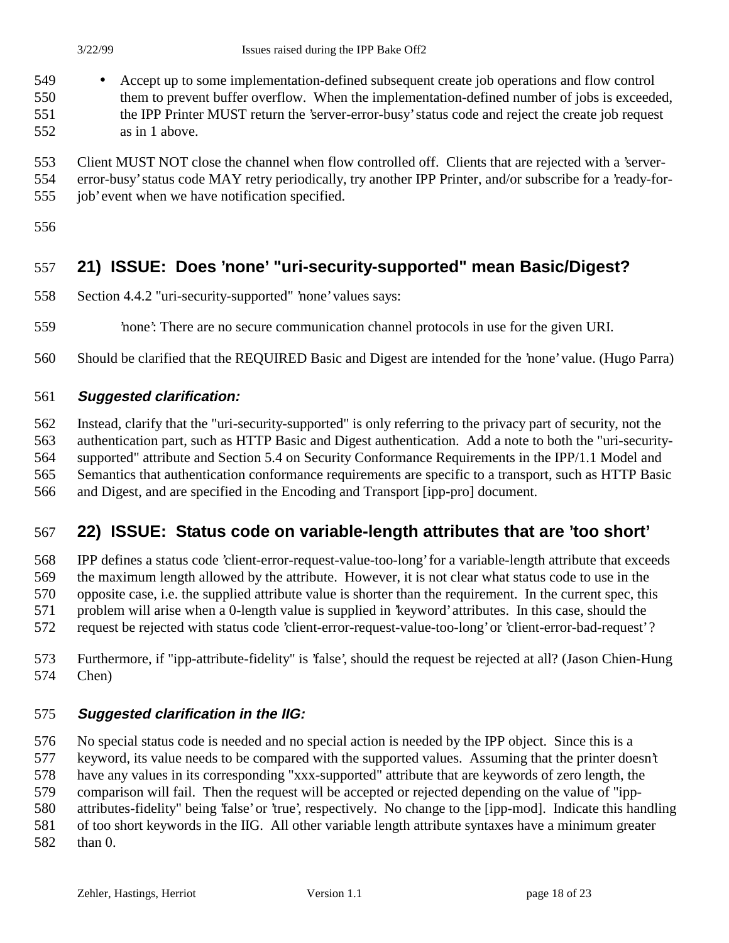- Accept up to some implementation-defined subsequent create job operations and flow control them to prevent buffer overflow. When the implementation-defined number of jobs is exceeded, the IPP Printer MUST return the 'server-error-busy' status code and reject the create job request as in 1 above.
- Client MUST NOT close the channel when flow controlled off. Clients that are rejected with a 'server-
- error-busy' status code MAY retry periodically, try another IPP Printer, and/or subscribe for a 'ready-for-job' event when we have notification specified.
- 

## **21) ISSUE: Does 'none' "uri-security-supported" mean Basic/Digest?**

- Section 4.4.2 "uri-security-supported" 'none' values says:
- 'none': There are no secure communication channel protocols in use for the given URI.
- Should be clarified that the REQUIRED Basic and Digest are intended for the 'none' value. (Hugo Parra)

#### **Suggested clarification:**

 Instead, clarify that the "uri-security-supported" is only referring to the privacy part of security, not the authentication part, such as HTTP Basic and Digest authentication. Add a note to both the "uri-security- supported" attribute and Section 5.4 on Security Conformance Requirements in the IPP/1.1 Model and Semantics that authentication conformance requirements are specific to a transport, such as HTTP Basic and Digest, and are specified in the Encoding and Transport [ipp-pro] document.

#### **22) ISSUE: Status code on variable-length attributes that are 'too short'**

- IPP defines a status code 'client-error-request-value-too-long' for a variable-length attribute that exceeds the maximum length allowed by the attribute. However, it is not clear what status code to use in the opposite case, i.e. the supplied attribute value is shorter than the requirement. In the current spec, this problem will arise when a 0-length value is supplied in 'keyword' attributes. In this case, should the request be rejected with status code 'client-error-request-value-too-long' or 'client-error-bad-request' ?
- Furthermore, if "ipp-attribute-fidelity" is 'false', should the request be rejected at all? (Jason Chien-Hung Chen)

#### **Suggested clarification in the IIG:**

 No special status code is needed and no special action is needed by the IPP object. Since this is a keyword, its value needs to be compared with the supported values. Assuming that the printer doesn't

have any values in its corresponding "xxx-supported" attribute that are keywords of zero length, the

comparison will fail. Then the request will be accepted or rejected depending on the value of "ipp-

attributes-fidelity" being 'false' or 'true', respectively. No change to the [ipp-mod]. Indicate this handling

 of too short keywords in the IIG. All other variable length attribute syntaxes have a minimum greater than 0.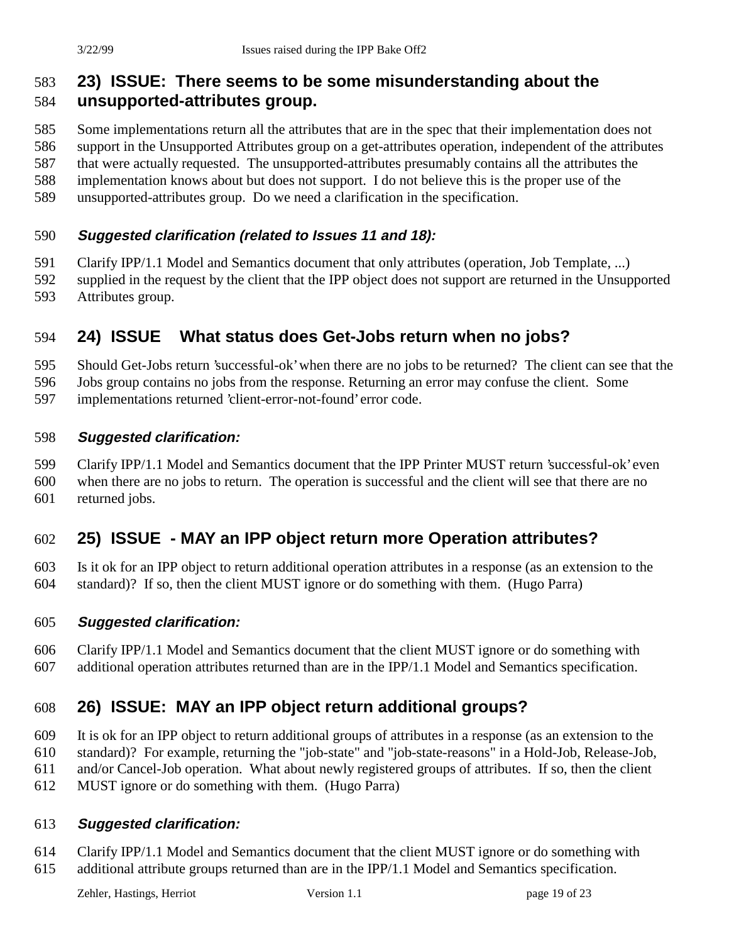#### **23) ISSUE: There seems to be some misunderstanding about the unsupported-attributes group.**

 Some implementations return all the attributes that are in the spec that their implementation does not support in the Unsupported Attributes group on a get-attributes operation, independent of the attributes that were actually requested. The unsupported-attributes presumably contains all the attributes the implementation knows about but does not support. I do not believe this is the proper use of the

unsupported-attributes group. Do we need a clarification in the specification.

#### **Suggested clarification (related to Issues 11 and 18):**

Clarify IPP/1.1 Model and Semantics document that only attributes (operation, Job Template, ...)

supplied in the request by the client that the IPP object does not support are returned in the Unsupported

Attributes group.

#### **24) ISSUE What status does Get-Jobs return when no jobs?**

Should Get-Jobs return 'successful-ok' when there are no jobs to be returned? The client can see that the

Jobs group contains no jobs from the response. Returning an error may confuse the client. Some

implementations returned 'client-error-not-found' error code.

#### **Suggested clarification:**

Clarify IPP/1.1 Model and Semantics document that the IPP Printer MUST return 'successful-ok' even

 when there are no jobs to return. The operation is successful and the client will see that there are no returned jobs.

## **25) ISSUE - MAY an IPP object return more Operation attributes?**

 Is it ok for an IPP object to return additional operation attributes in a response (as an extension to the standard)? If so, then the client MUST ignore or do something with them. (Hugo Parra)

#### **Suggested clarification:**

 Clarify IPP/1.1 Model and Semantics document that the client MUST ignore or do something with additional operation attributes returned than are in the IPP/1.1 Model and Semantics specification.

## **26) ISSUE: MAY an IPP object return additional groups?**

It is ok for an IPP object to return additional groups of attributes in a response (as an extension to the

standard)? For example, returning the "job-state" and "job-state-reasons" in a Hold-Job, Release-Job,

and/or Cancel-Job operation. What about newly registered groups of attributes. If so, then the client

MUST ignore or do something with them. (Hugo Parra)

#### **Suggested clarification:**

 Clarify IPP/1.1 Model and Semantics document that the client MUST ignore or do something with additional attribute groups returned than are in the IPP/1.1 Model and Semantics specification.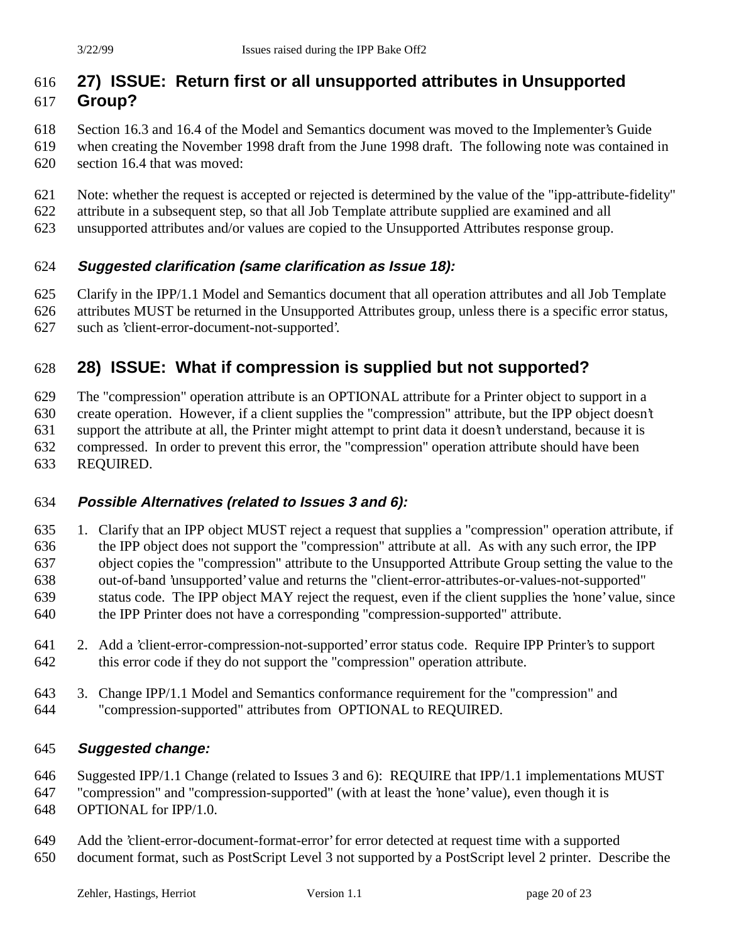#### **27) ISSUE: Return first or all unsupported attributes in Unsupported Group?**

- Section 16.3 and 16.4 of the Model and Semantics document was moved to the Implementer's Guide
- when creating the November 1998 draft from the June 1998 draft. The following note was contained in section 16.4 that was moved:
- Note: whether the request is accepted or rejected is determined by the value of the "ipp-attribute-fidelity"
- attribute in a subsequent step, so that all Job Template attribute supplied are examined and all
- unsupported attributes and/or values are copied to the Unsupported Attributes response group.

#### **Suggested clarification (same clarification as Issue 18):**

- Clarify in the IPP/1.1 Model and Semantics document that all operation attributes and all Job Template
- attributes MUST be returned in the Unsupported Attributes group, unless there is a specific error status,
- such as 'client-error-document-not-supported'.

## **28) ISSUE: What if compression is supplied but not supported?**

The "compression" operation attribute is an OPTIONAL attribute for a Printer object to support in a

create operation. However, if a client supplies the "compression" attribute, but the IPP object doesn't

support the attribute at all, the Printer might attempt to print data it doesn't understand, because it is

compressed. In order to prevent this error, the "compression" operation attribute should have been

REQUIRED.

#### **Possible Alternatives (related to Issues 3 and 6):**

 1. Clarify that an IPP object MUST reject a request that supplies a "compression" operation attribute, if the IPP object does not support the "compression" attribute at all. As with any such error, the IPP object copies the "compression" attribute to the Unsupported Attribute Group setting the value to the out-of-band 'unsupported' value and returns the "client-error-attributes-or-values-not-supported" status code. The IPP object MAY reject the request, even if the client supplies the 'none' value, since the IPP Printer does not have a corresponding "compression-supported" attribute.

- 2. Add a 'client-error-compression-not-supported' error status code. Require IPP Printer's to support this error code if they do not support the "compression" operation attribute.
- 3. Change IPP/1.1 Model and Semantics conformance requirement for the "compression" and "compression-supported" attributes from OPTIONAL to REQUIRED.

#### **Suggested change:**

Suggested IPP/1.1 Change (related to Issues 3 and 6): REQUIRE that IPP/1.1 implementations MUST

"compression" and "compression-supported" (with at least the 'none' value), even though it is

- OPTIONAL for IPP/1.0.
- Add the 'client-error-document-format-error' for error detected at request time with a supported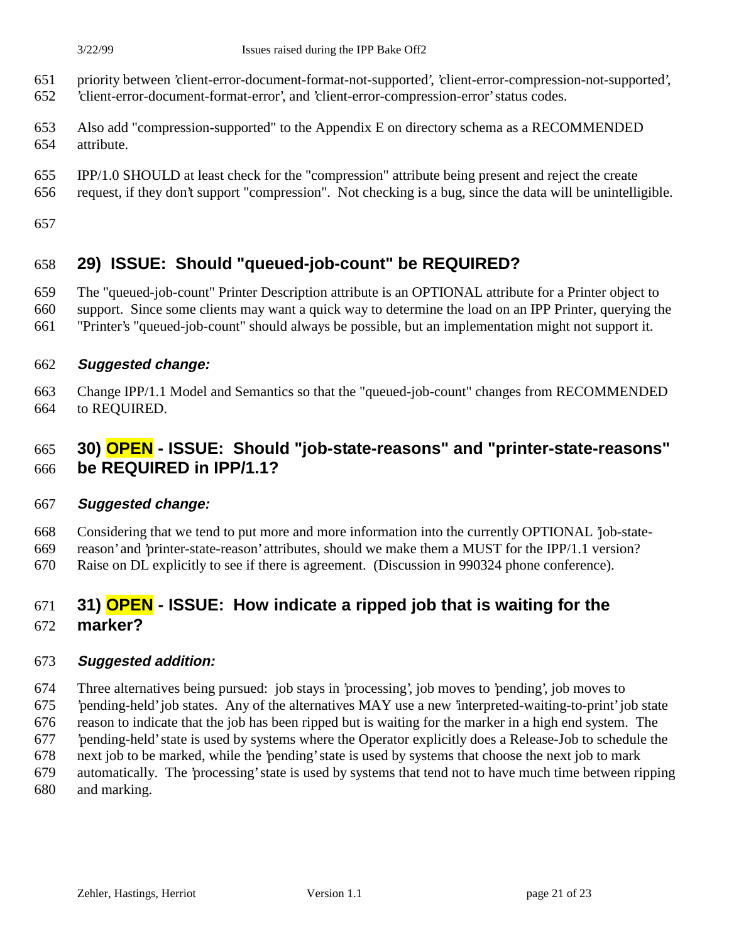- priority between 'client-error-document-format-not-supported', 'client-error-compression-not-supported',
- 'client-error-document-format-error', and 'client-error-compression-error' status codes.
- Also add "compression-supported" to the Appendix E on directory schema as a RECOMMENDED attribute.
- IPP/1.0 SHOULD at least check for the "compression" attribute being present and reject the create
- request, if they don't support "compression". Not checking is a bug, since the data will be unintelligible.
- 

## **29) ISSUE: Should "queued-job-count" be REQUIRED?**

- The "queued-job-count" Printer Description attribute is an OPTIONAL attribute for a Printer object to
- support. Since some clients may want a quick way to determine the load on an IPP Printer, querying the
- "Printer's "queued-job-count" should always be possible, but an implementation might not support it.
- **Suggested change:**
- Change IPP/1.1 Model and Semantics so that the "queued-job-count" changes from RECOMMENDED to REQUIRED.

## **30) OPEN - ISSUE: Should "job-state-reasons" and "printer-state-reasons" be REQUIRED in IPP/1.1?**

#### **Suggested change:**

Considering that we tend to put more and more information into the currently OPTIONAL 'job-state-

reason' and 'printer-state-reason' attributes, should we make them a MUST for the IPP/1.1 version?

Raise on DL explicitly to see if there is agreement. (Discussion in 990324 phone conference).

# **31) OPEN - ISSUE: How indicate a ripped job that is waiting for the**

**marker?**

#### **Suggested addition:**

 Three alternatives being pursued: job stays in 'processing', job moves to 'pending', job moves to 'pending-held' job states. Any of the alternatives MAY use a new 'interpreted-waiting-to-print' job state

reason to indicate that the job has been ripped but is waiting for the marker in a high end system. The

- 'pending-held' state is used by systems where the Operator explicitly does a Release-Job to schedule the
- next job to be marked, while the 'pending' state is used by systems that choose the next job to mark
- automatically. The 'processing' state is used by systems that tend not to have much time between ripping and marking.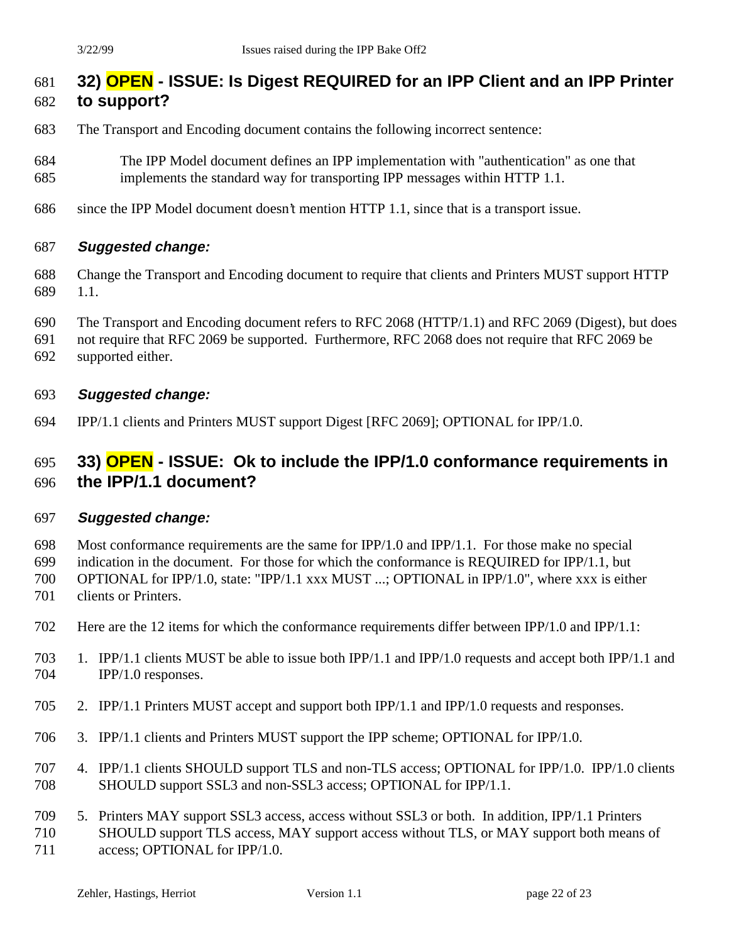## **32) OPEN - ISSUE: Is Digest REQUIRED for an IPP Client and an IPP Printer**

#### **to support?**

- The Transport and Encoding document contains the following incorrect sentence:
- The IPP Model document defines an IPP implementation with "authentication" as one that implements the standard way for transporting IPP messages within HTTP 1.1.
- since the IPP Model document doesn't mention HTTP 1.1, since that is a transport issue.

#### **Suggested change:**

- Change the Transport and Encoding document to require that clients and Printers MUST support HTTP 1.1.
- The Transport and Encoding document refers to RFC 2068 (HTTP/1.1) and RFC 2069 (Digest), but does
- not require that RFC 2069 be supported. Furthermore, RFC 2068 does not require that RFC 2069 be
- supported either.

#### **Suggested change:**

IPP/1.1 clients and Printers MUST support Digest [RFC 2069]; OPTIONAL for IPP/1.0.

#### **33) OPEN - ISSUE: Ok to include the IPP/1.0 conformance requirements in the IPP/1.1 document?**

#### **Suggested change:**

Most conformance requirements are the same for IPP/1.0 and IPP/1.1. For those make no special

indication in the document. For those for which the conformance is REQUIRED for IPP/1.1, but

 OPTIONAL for IPP/1.0, state: "IPP/1.1 xxx MUST ...; OPTIONAL in IPP/1.0", where xxx is either clients or Printers.

- Here are the 12 items for which the conformance requirements differ between IPP/1.0 and IPP/1.1:
- 1. IPP/1.1 clients MUST be able to issue both IPP/1.1 and IPP/1.0 requests and accept both IPP/1.1 and IPP/1.0 responses.
- 2. IPP/1.1 Printers MUST accept and support both IPP/1.1 and IPP/1.0 requests and responses.
- 3. IPP/1.1 clients and Printers MUST support the IPP scheme; OPTIONAL for IPP/1.0.
- 4. IPP/1.1 clients SHOULD support TLS and non-TLS access; OPTIONAL for IPP/1.0. IPP/1.0 clients SHOULD support SSL3 and non-SSL3 access; OPTIONAL for IPP/1.1.
- 5. Printers MAY support SSL3 access, access without SSL3 or both. In addition, IPP/1.1 Printers SHOULD support TLS access, MAY support access without TLS, or MAY support both means of 711 access; OPTIONAL for IPP/1.0.